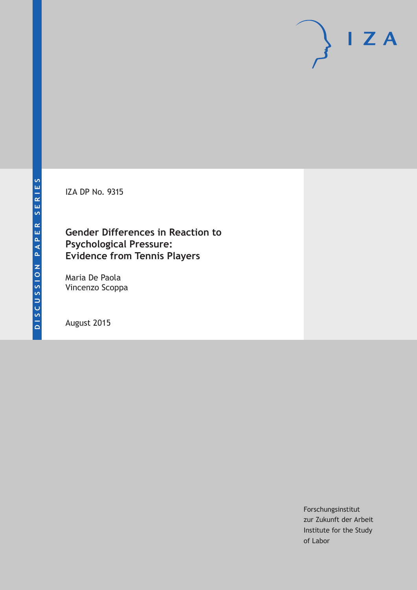IZA DP No. 9315

# **Gender Differences in Reaction to Psychological Pressure: Evidence from Tennis Players**

Maria De Paola Vincenzo Scoppa

August 2015

Forschungsinstitut zur Zukunft der Arbeit Institute for the Study of Labor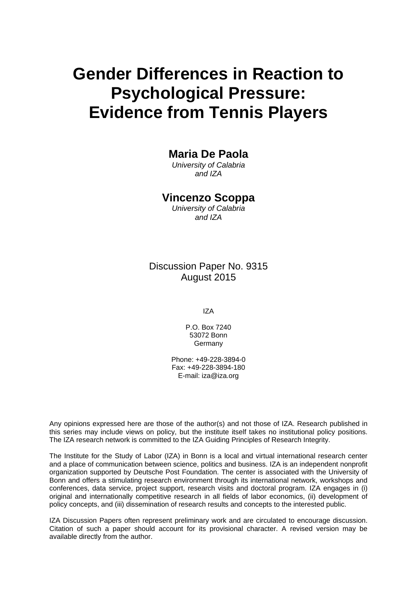# **Gender Differences in Reaction to Psychological Pressure: Evidence from Tennis Players**

# **Maria De Paola**

*University of Calabria and IZA* 

## **Vincenzo Scoppa**

*University of Calabria and IZA* 

Discussion Paper No. 9315 August 2015

IZA

P.O. Box 7240 53072 Bonn **Germany** 

Phone: +49-228-3894-0 Fax: +49-228-3894-180 E-mail: iza@iza.org

Any opinions expressed here are those of the author(s) and not those of IZA. Research published in this series may include views on policy, but the institute itself takes no institutional policy positions. The IZA research network is committed to the IZA Guiding Principles of Research Integrity.

The Institute for the Study of Labor (IZA) in Bonn is a local and virtual international research center and a place of communication between science, politics and business. IZA is an independent nonprofit organization supported by Deutsche Post Foundation. The center is associated with the University of Bonn and offers a stimulating research environment through its international network, workshops and conferences, data service, project support, research visits and doctoral program. IZA engages in (i) original and internationally competitive research in all fields of labor economics, (ii) development of policy concepts, and (iii) dissemination of research results and concepts to the interested public.

IZA Discussion Papers often represent preliminary work and are circulated to encourage discussion. Citation of such a paper should account for its provisional character. A revised version may be available directly from the author.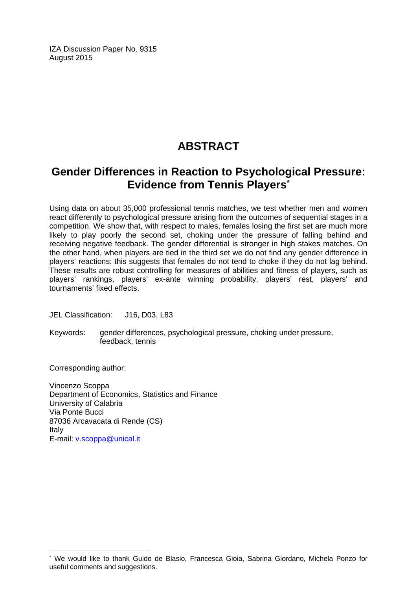IZA Discussion Paper No. 9315 August 2015

# **ABSTRACT**

# **Gender Differences in Reaction to Psychological Pressure: Evidence from Tennis Players\***

Using data on about 35,000 professional tennis matches, we test whether men and women react differently to psychological pressure arising from the outcomes of sequential stages in a competition. We show that, with respect to males, females losing the first set are much more likely to play poorly the second set, choking under the pressure of falling behind and receiving negative feedback. The gender differential is stronger in high stakes matches. On the other hand, when players are tied in the third set we do not find any gender difference in players' reactions: this suggests that females do not tend to choke if they do not lag behind. These results are robust controlling for measures of abilities and fitness of players, such as players' rankings, players' ex-ante winning probability, players' rest, players' and tournaments' fixed effects.

JEL Classification: J16, D03, L83

Keywords: gender differences, psychological pressure, choking under pressure, feedback, tennis

Corresponding author:

 $\overline{\phantom{a}}$ 

Vincenzo Scoppa Department of Economics, Statistics and Finance University of Calabria Via Ponte Bucci 87036 Arcavacata di Rende (CS) Italy E-mail: v.scoppa@unical.it

<sup>\*</sup> We would like to thank Guido de Blasio, Francesca Gioia, Sabrina Giordano, Michela Ponzo for useful comments and suggestions.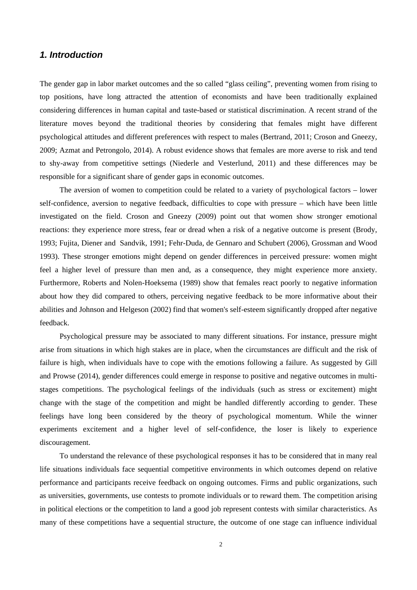## *1. Introduction*

The gender gap in labor market outcomes and the so called "glass ceiling", preventing women from rising to top positions, have long attracted the attention of economists and have been traditionally explained considering differences in human capital and taste-based or statistical discrimination. A recent strand of the literature moves beyond the traditional theories by considering that females might have different psychological attitudes and different preferences with respect to males (Bertrand, 2011; Croson and Gneezy, 2009; Azmat and Petrongolo, 2014). A robust evidence shows that females are more averse to risk and tend to shy-away from competitive settings (Niederle and Vesterlund, 2011) and these differences may be responsible for a significant share of gender gaps in economic outcomes.

The aversion of women to competition could be related to a variety of psychological factors – lower self-confidence, aversion to negative feedback, difficulties to cope with pressure – which have been little investigated on the field. Croson and Gneezy (2009) point out that women show stronger emotional reactions: they experience more stress, fear or dread when a risk of a negative outcome is present (Brody, 1993; Fujita, Diener and Sandvik, 1991; Fehr-Duda, de Gennaro and Schubert (2006), Grossman and Wood 1993). These stronger emotions might depend on gender differences in perceived pressure: women might feel a higher level of pressure than men and, as a consequence, they might experience more anxiety. Furthermore, Roberts and Nolen-Hoeksema (1989) show that females react poorly to negative information about how they did compared to others, perceiving negative feedback to be more informative about their abilities and Johnson and Helgeson (2002) find that women's self-esteem significantly dropped after negative feedback.

Psychological pressure may be associated to many different situations. For instance, pressure might arise from situations in which high stakes are in place, when the circumstances are difficult and the risk of failure is high, when individuals have to cope with the emotions following a failure. As suggested by Gill and Prowse (2014), gender differences could emerge in response to positive and negative outcomes in multistages competitions. The psychological feelings of the individuals (such as stress or excitement) might change with the stage of the competition and might be handled differently according to gender. These feelings have long been considered by the theory of psychological momentum. While the winner experiments excitement and a higher level of self-confidence, the loser is likely to experience discouragement.

To understand the relevance of these psychological responses it has to be considered that in many real life situations individuals face sequential competitive environments in which outcomes depend on relative performance and participants receive feedback on ongoing outcomes. Firms and public organizations, such as universities, governments, use contests to promote individuals or to reward them. The competition arising in political elections or the competition to land a good job represent contests with similar characteristics. As many of these competitions have a sequential structure, the outcome of one stage can influence individual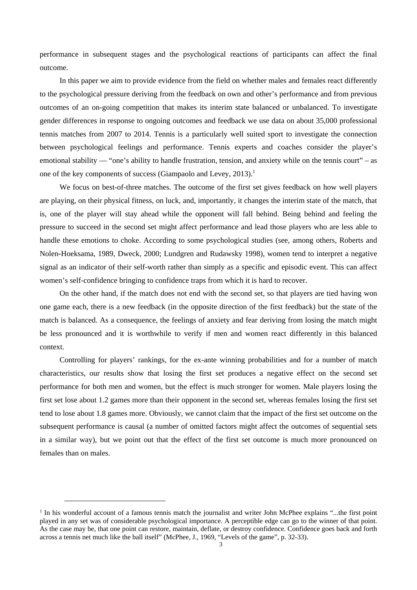performance in subsequent stages and the psychological reactions of participants can affect the final outcome.

In this paper we aim to provide evidence from the field on whether males and females react differently to the psychological pressure deriving from the feedback on own and other's performance and from previous outcomes of an on-going competition that makes its interim state balanced or unbalanced. To investigate gender differences in response to ongoing outcomes and feedback we use data on about 35,000 professional tennis matches from 2007 to 2014. Tennis is a particularly well suited sport to investigate the connection between psychological feelings and performance. Tennis experts and coaches consider the player's emotional stability — "one's ability to handle frustration, tension, and anxiety while on the tennis court" – as one of the key components of success (Giampaolo and Levey, 2013).<sup>1</sup>

We focus on best-of-three matches. The outcome of the first set gives feedback on how well players are playing, on their physical fitness, on luck, and, importantly, it changes the interim state of the match, that is, one of the player will stay ahead while the opponent will fall behind. Being behind and feeling the pressure to succeed in the second set might affect performance and lead those players who are less able to handle these emotions to choke. According to some psychological studies (see, among others, Roberts and Nolen-Hoeksama, 1989, Dweck, 2000; Lundgren and Rudawsky 1998), women tend to interpret a negative signal as an indicator of their self-worth rather than simply as a specific and episodic event. This can affect women's self-confidence bringing to confidence traps from which it is hard to recover.

On the other hand, if the match does not end with the second set, so that players are tied having won one game each, there is a new feedback (in the opposite direction of the first feedback) but the state of the match is balanced. As a consequence, the feelings of anxiety and fear deriving from losing the match might be less pronounced and it is worthwhile to verify if men and women react differently in this balanced context.

Controlling for players' rankings, for the ex-ante winning probabilities and for a number of match characteristics, our results show that losing the first set produces a negative effect on the second set performance for both men and women, but the effect is much stronger for women. Male players losing the first set lose about 1.2 games more than their opponent in the second set, whereas females losing the first set tend to lose about 1.8 games more. Obviously, we cannot claim that the impact of the first set outcome on the subsequent performance is causal (a number of omitted factors might affect the outcomes of sequential sets in a similar way), but we point out that the effect of the first set outcome is much more pronounced on females than on males.

<sup>&</sup>lt;sup>1</sup> In his wonderful account of a famous tennis match the journalist and writer John McPhee explains "...the first point played in any set was of considerable psychological importance. A perceptible edge can go to the winner of that point. As the case may be, that one point can restore, maintain, deflate, or destroy confidence. Confidence goes back and forth across a tennis net much like the ball itself" (McPhee, J., 1969, "Levels of the game", p. 32-33).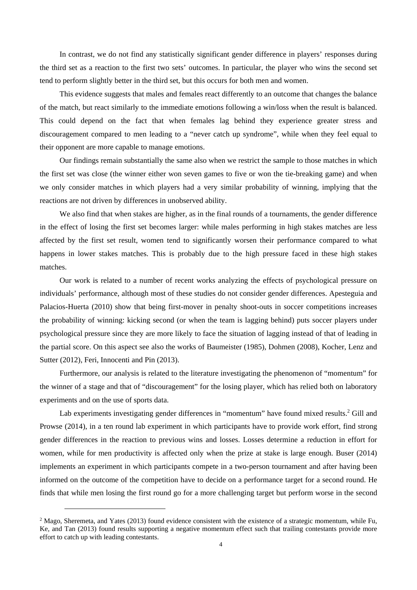In contrast, we do not find any statistically significant gender difference in players' responses during the third set as a reaction to the first two sets' outcomes. In particular, the player who wins the second set tend to perform slightly better in the third set, but this occurs for both men and women.

This evidence suggests that males and females react differently to an outcome that changes the balance of the match, but react similarly to the immediate emotions following a win/loss when the result is balanced. This could depend on the fact that when females lag behind they experience greater stress and discouragement compared to men leading to a "never catch up syndrome", while when they feel equal to their opponent are more capable to manage emotions.

Our findings remain substantially the same also when we restrict the sample to those matches in which the first set was close (the winner either won seven games to five or won the tie-breaking game) and when we only consider matches in which players had a very similar probability of winning, implying that the reactions are not driven by differences in unobserved ability.

We also find that when stakes are higher, as in the final rounds of a tournaments, the gender difference in the effect of losing the first set becomes larger: while males performing in high stakes matches are less affected by the first set result, women tend to significantly worsen their performance compared to what happens in lower stakes matches. This is probably due to the high pressure faced in these high stakes matches.

Our work is related to a number of recent works analyzing the effects of psychological pressure on individuals' performance, although most of these studies do not consider gender differences. Apesteguia and Palacios-Huerta (2010) show that being first-mover in penalty shoot-outs in soccer competitions increases the probability of winning: kicking second (or when the team is lagging behind) puts soccer players under psychological pressure since they are more likely to face the situation of lagging instead of that of leading in the partial score. On this aspect see also the works of Baumeister (1985), Dohmen (2008), Kocher, Lenz and Sutter (2012), Feri, Innocenti and Pin (2013).

Furthermore, our analysis is related to the literature investigating the phenomenon of "momentum" for the winner of a stage and that of "discouragement" for the losing player, which has relied both on laboratory experiments and on the use of sports data.

Lab experiments investigating gender differences in "momentum" have found mixed results.<sup>2</sup> Gill and Prowse (2014), in a ten round lab experiment in which participants have to provide work effort, find strong gender differences in the reaction to previous wins and losses. Losses determine a reduction in effort for women, while for men productivity is affected only when the prize at stake is large enough. Buser (2014) implements an experiment in which participants compete in a two-person tournament and after having been informed on the outcome of the competition have to decide on a performance target for a second round. He finds that while men losing the first round go for a more challenging target but perform worse in the second

 $2$  Mago, Sheremeta, and Yates (2013) found evidence consistent with the existence of a strategic momentum, while Fu, Ke, and Tan (2013) found results supporting a negative momentum effect such that trailing contestants provide more effort to catch up with leading contestants.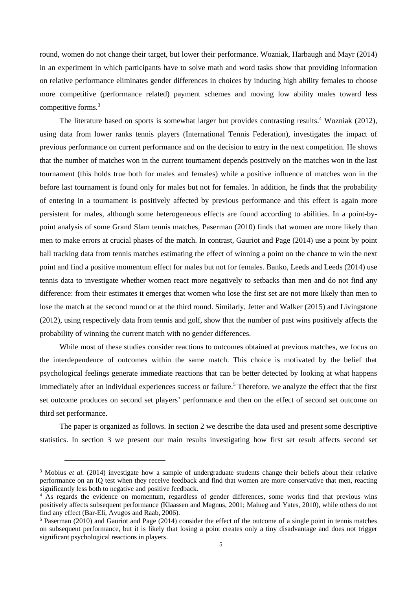round, women do not change their target, but lower their performance. Wozniak, Harbaugh and Mayr (2014) in an experiment in which participants have to solve math and word tasks show that providing information on relative performance eliminates gender differences in choices by inducing high ability females to choose more competitive (performance related) payment schemes and moving low ability males toward less competitive forms.<sup>3</sup>

The literature based on sports is somewhat larger but provides contrasting results.<sup>4</sup> Wozniak (2012), using data from lower ranks tennis players (International Tennis Federation), investigates the impact of previous performance on current performance and on the decision to entry in the next competition. He shows that the number of matches won in the current tournament depends positively on the matches won in the last tournament (this holds true both for males and females) while a positive influence of matches won in the before last tournament is found only for males but not for females. In addition, he finds that the probability of entering in a tournament is positively affected by previous performance and this effect is again more persistent for males, although some heterogeneous effects are found according to abilities. In a point-bypoint analysis of some Grand Slam tennis matches, Paserman (2010) finds that women are more likely than men to make errors at crucial phases of the match. In contrast, Gauriot and Page (2014) use a point by point ball tracking data from tennis matches estimating the effect of winning a point on the chance to win the next point and find a positive momentum effect for males but not for females. Banko, Leeds and Leeds (2014) use tennis data to investigate whether women react more negatively to setbacks than men and do not find any difference: from their estimates it emerges that women who lose the first set are not more likely than men to lose the match at the second round or at the third round. Similarly, Jetter and Walker (2015) and Livingstone (2012), using respectively data from tennis and golf, show that the number of past wins positively affects the probability of winning the current match with no gender differences.

While most of these studies consider reactions to outcomes obtained at previous matches, we focus on the interdependence of outcomes within the same match. This choice is motivated by the belief that psychological feelings generate immediate reactions that can be better detected by looking at what happens immediately after an individual experiences success or failure.<sup>5</sup> Therefore, we analyze the effect that the first set outcome produces on second set players' performance and then on the effect of second set outcome on third set performance.

The paper is organized as follows. In section 2 we describe the data used and present some descriptive statistics. In section 3 we present our main results investigating how first set result affects second set

<sup>&</sup>lt;sup>3</sup> Mobius *et al.* (2014) investigate how a sample of undergraduate students change their beliefs about their relative performance on an IQ test when they receive feedback and find that women are more conservative that men, reacting significantly less both to negative and positive feedback.

<sup>4</sup> As regards the evidence on momentum, regardless of gender differences, some works find that previous wins positively affects subsequent performance (Klaassen and Magnus, 2001; Malueg and Yates, 2010), while others do not find any effect (Bar-Eli, Avugos and Raab, 2006).

<sup>&</sup>lt;sup>5</sup> Paserman (2010) and Gauriot and Page (2014) consider the effect of the outcome of a single point in tennis matches on subsequent performance, but it is likely that losing a point creates only a tiny disadvantage and does not trigger significant psychological reactions in players.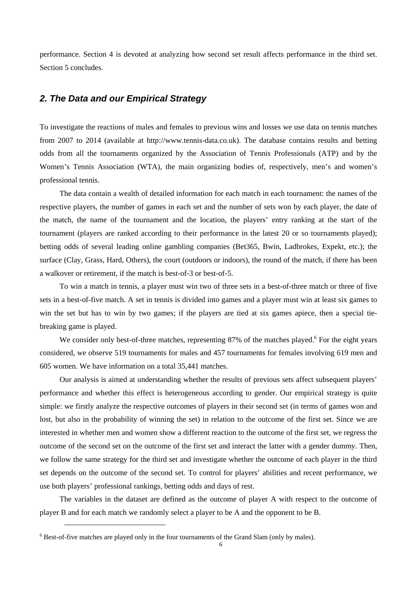performance. Section 4 is devoted at analyzing how second set result affects performance in the third set. Section 5 concludes.

## *2. The Data and our Empirical Strategy*

To investigate the reactions of males and females to previous wins and losses we use data on tennis matches from 2007 to 2014 (available at http://www.tennis-data.co.uk). The database contains results and betting odds from all the tournaments organized by the Association of Tennis Professionals (ATP) and by the Women's Tennis Association (WTA), the main organizing bodies of, respectively, men's and women's professional tennis.

The data contain a wealth of detailed information for each match in each tournament: the names of the respective players, the number of games in each set and the number of sets won by each player, the date of the match, the name of the tournament and the location, the players' entry ranking at the start of the tournament (players are ranked according to their performance in the latest 20 or so tournaments played); betting odds of several leading online gambling companies (Bet365, Bwin, Ladbrokes, Expekt, etc.); the surface (Clay, Grass, Hard, Others), the court (outdoors or indoors), the round of the match, if there has been a walkover or retirement, if the match is best-of-3 or best-of-5.

To win a match in tennis, a player must win two of three sets in a best-of-three match or three of five sets in a best-of-five match. A set in tennis is divided into games and a player must win at least six games to win the set but has to win by two games; if the players are tied at six games apiece, then a special tiebreaking game is played.

We consider only best-of-three matches, representing 87% of the matches played.<sup>6</sup> For the eight years considered, we observe 519 tournaments for males and 457 tournaments for females involving 619 men and 605 women. We have information on a total 35,441 matches.

Our analysis is aimed at understanding whether the results of previous sets affect subsequent players' performance and whether this effect is heterogeneous according to gender. Our empirical strategy is quite simple: we firstly analyze the respective outcomes of players in their second set (in terms of games won and lost, but also in the probability of winning the set) in relation to the outcome of the first set. Since we are interested in whether men and women show a different reaction to the outcome of the first set, we regress the outcome of the second set on the outcome of the first set and interact the latter with a gender dummy. Then, we follow the same strategy for the third set and investigate whether the outcome of each player in the third set depends on the outcome of the second set. To control for players' abilities and recent performance, we use both players' professional rankings, betting odds and days of rest.

The variables in the dataset are defined as the outcome of player A with respect to the outcome of player B and for each match we randomly select a player to be A and the opponent to be B.

<sup>&</sup>lt;sup>6</sup> Best-of-five matches are played only in the four tournaments of the Grand Slam (only by males).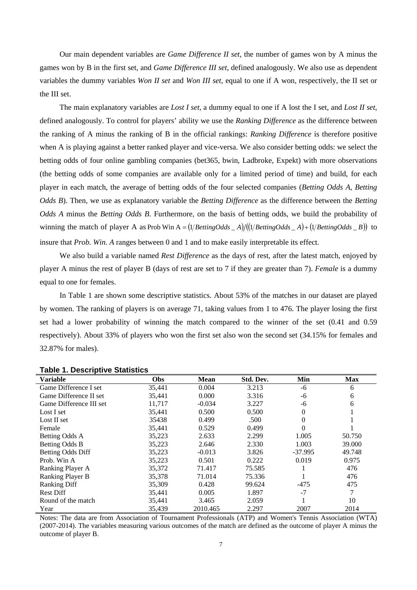Our main dependent variables are *Game Difference II set*, the number of games won by A minus the games won by B in the first set, and *Game Difference III set*, defined analogously. We also use as dependent variables the dummy variables *Won II set* and *Won III set*, equal to one if A won, respectively, the II set or the III set.

The main explanatory variables are *Lost I set*, a dummy equal to one if A lost the I set, and *Lost II set*, defined analogously. To control for players' ability we use the *Ranking Difference* as the difference between the ranking of A minus the ranking of B in the official rankings: *Ranking Difference* is therefore positive when A is playing against a better ranked player and vice-versa. We also consider betting odds: we select the betting odds of four online gambling companies (bet365, bwin, Ladbroke, Expekt) with more observations (the betting odds of some companies are available only for a limited period of time) and build, for each player in each match, the average of betting odds of the four selected companies (*Betting Odds A*, *Betting Odds B*). Then, we use as explanatory variable the *Betting Difference* as the difference between the *Betting Odds A* minus the *Betting Odds B*. Furthermore, on the basis of betting odds, we build the probability of winning the match of player A as Prob Win  $A = \frac{1}{B}$  *BettingOdds* \_ *A* $\frac{1}{B}$   $\frac{1}{B}$   $\frac{1}{B}$   $\frac{1}{B}$   $\frac{1}{B}$  to insure that *Prob. Win. A* ranges between 0 and 1 and to make easily interpretable its effect.

We also build a variable named *Rest Difference* as the days of rest, after the latest match, enjoyed by player A minus the rest of player B (days of rest are set to 7 if they are greater than 7). *Female* is a dummy equal to one for females.

In Table 1 are shown some descriptive statistics. About 53% of the matches in our dataset are played by women. The ranking of players is on average 71, taking values from 1 to 476. The player losing the first set had a lower probability of winning the match compared to the winner of the set (0.41 and 0.59 respectively). About 33% of players who won the first set also won the second set (34.15% for females and 32.87% for males).

| <b>Variable</b>          | Obs    | <b>Mean</b> | Std. Dev. | Min       | <b>Max</b> |
|--------------------------|--------|-------------|-----------|-----------|------------|
| Game Difference I set    | 35,441 | 0.004       | 3.213     | -6        | 6          |
| Game Difference II set   | 35,441 | 0.000       | 3.316     | -6        | 6          |
| Game Difference III set  | 11,717 | $-0.034$    | 3.227     | -6        | 6          |
| Lost I set               | 35,441 | 0.500       | 0.500     | $\Omega$  |            |
| Lost II set              | 35438  | 0.499       | .500      | $\Omega$  |            |
| Female                   | 35,441 | 0.529       | 0.499     | $\theta$  |            |
| Betting Odds A           | 35,223 | 2.633       | 2.299     | 1.005     | 50.750     |
| Betting Odds B           | 35,223 | 2.646       | 2.330     | 1.003     | 39.000     |
| <b>Betting Odds Diff</b> | 35,223 | $-0.013$    | 3.826     | $-37.995$ | 49.748     |
| Prob. Win A              | 35,223 | 0.501       | 0.222     | 0.019     | 0.975      |
| Ranking Player A         | 35,372 | 71.417      | 75.585    |           | 476        |
| Ranking Player B         | 35,378 | 71.014      | 75.336    |           | 476        |
| <b>Ranking Diff</b>      | 35,309 | 0.428       | 99.624    | $-475$    | 475        |
| <b>Rest Diff</b>         | 35.441 | 0.005       | 1.897     | $-7$      |            |
| Round of the match       | 35,441 | 3.465       | 2.059     |           | 10         |
| Year                     | 35,439 | 2010.465    | 2.297     | 2007      | 2014       |

#### **Table 1. Descriptive Statistics**

Notes: The data are from Association of Tournament Professionals (ATP) and Women's Tennis Association (WTA) (2007-2014). The variables measuring various outcomes of the match are defined as the outcome of player A minus the outcome of player B.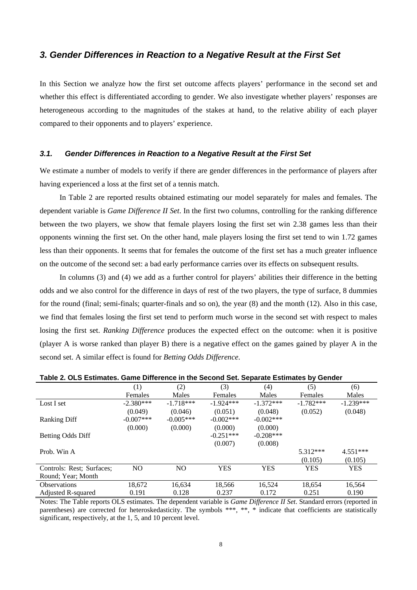#### *3. Gender Differences in Reaction to a Negative Result at the First Set*

In this Section we analyze how the first set outcome affects players' performance in the second set and whether this effect is differentiated according to gender. We also investigate whether players' responses are heterogeneous according to the magnitudes of the stakes at hand, to the relative ability of each player compared to their opponents and to players' experience.

#### *3.1. Gender Differences in Reaction to a Negative Result at the First Set*

We estimate a number of models to verify if there are gender differences in the performance of players after having experienced a loss at the first set of a tennis match.

In Table 2 are reported results obtained estimating our model separately for males and females. The dependent variable is *Game Difference II Set*. In the first two columns, controlling for the ranking difference between the two players, we show that female players losing the first set win 2.38 games less than their opponents winning the first set. On the other hand, male players losing the first set tend to win 1.72 games less than their opponents. It seems that for females the outcome of the first set has a much greater influence on the outcome of the second set: a bad early performance carries over its effects on subsequent results.

In columns (3) and (4) we add as a further control for players' abilities their difference in the betting odds and we also control for the difference in days of rest of the two players, the type of surface, 8 dummies for the round (final; semi-finals; quarter-finals and so on), the year (8) and the month (12). Also in this case, we find that females losing the first set tend to perform much worse in the second set with respect to males losing the first set. *Ranking Difference* produces the expected effect on the outcome: when it is positive (player A is worse ranked than player B) there is a negative effect on the games gained by player A in the second set. A similar effect is found for *Betting Odds Difference*.

|                           | (1)            | (2)            | (3)            | (4)          | (5)         | (6)         |
|---------------------------|----------------|----------------|----------------|--------------|-------------|-------------|
|                           | Females        | Males          | <b>Females</b> | Males        | Females     | Males       |
| Lost I set                | $-2.380***$    | $-1.718***$    | $-1.924***$    | $-1.372***$  | $-1.782***$ | $-1.239***$ |
|                           | (0.049)        | (0.046)        | (0.051)        | (0.048)      | (0.052)     | (0.048)     |
| <b>Ranking Diff</b>       | $-0.007$ ***   | $-0.005***$    | $-0.002***$    | $-0.002$ *** |             |             |
|                           | (0.000)        | (0.000)        | (0.000)        | (0.000)      |             |             |
| Betting Odds Diff         |                |                | $-0.251***$    | $-0.208***$  |             |             |
|                           |                |                | (0.007)        | (0.008)      |             |             |
| Prob. Win A               |                |                |                |              | 5.312***    | $4.551***$  |
|                           |                |                |                |              | (0.105)     | (0.105)     |
| Controls: Rest: Surfaces: | N <sub>O</sub> | N <sub>O</sub> | <b>YES</b>     | <b>YES</b>   | <b>YES</b>  | <b>YES</b>  |
| Round: Year: Month        |                |                |                |              |             |             |
| <b>Observations</b>       | 18,672         | 16,634         | 18,566         | 16,524       | 18,654      | 16,564      |
| <b>Adjusted R-squared</b> | 0.191          | 0.128          | 0.237          | 0.172        | 0.251       | 0.190       |

**Table 2. OLS Estimates. Game Difference in the Second Set. Separate Estimates by Gender**

Notes: The Table reports OLS estimates. The dependent variable is *Game Difference II Set*. Standard errors (reported in parentheses) are corrected for heteroskedasticity. The symbols \*\*\*, \*\*, \* indicate that coefficients are statistically significant, respectively, at the 1, 5, and 10 percent level.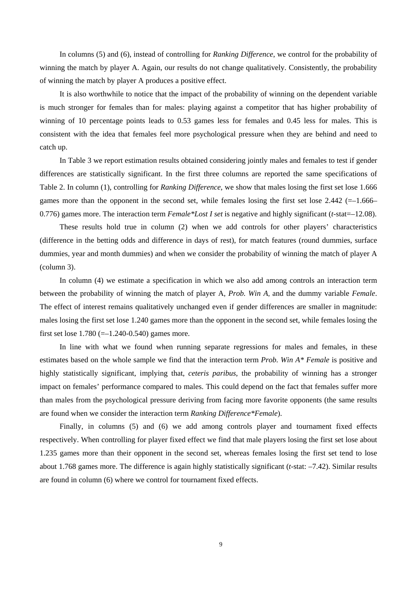In columns (5) and (6), instead of controlling for *Ranking Difference*, we control for the probability of winning the match by player A. Again, our results do not change qualitatively. Consistently, the probability of winning the match by player A produces a positive effect.

It is also worthwhile to notice that the impact of the probability of winning on the dependent variable is much stronger for females than for males: playing against a competitor that has higher probability of winning of 10 percentage points leads to 0.53 games less for females and 0.45 less for males. This is consistent with the idea that females feel more psychological pressure when they are behind and need to catch up.

In Table 3 we report estimation results obtained considering jointly males and females to test if gender differences are statistically significant. In the first three columns are reported the same specifications of Table 2. In column (1), controlling for *Ranking Difference*, we show that males losing the first set lose 1.666 games more than the opponent in the second set, while females losing the first set lose  $2.442$  ( $=$ -1.666– 0.776) games more. The interaction term *Female\*Lost I set* is negative and highly significant (*t*-stat=–12.08).

These results hold true in column (2) when we add controls for other players' characteristics (difference in the betting odds and difference in days of rest), for match features (round dummies, surface dummies, year and month dummies) and when we consider the probability of winning the match of player A (column 3).

In column (4) we estimate a specification in which we also add among controls an interaction term between the probability of winning the match of player A*, Prob. Win A*, and the dummy variable *Female*. The effect of interest remains qualitatively unchanged even if gender differences are smaller in magnitude: males losing the first set lose 1.240 games more than the opponent in the second set, while females losing the first set lose  $1.780$  (=-1.240-0.540) games more.

In line with what we found when running separate regressions for males and females, in these estimates based on the whole sample we find that the interaction term *Prob. Win A\* Female* is positive and highly statistically significant, implying that, *ceteris paribus*, the probability of winning has a stronger impact on females' performance compared to males. This could depend on the fact that females suffer more than males from the psychological pressure deriving from facing more favorite opponents (the same results are found when we consider the interaction term *Ranking Difference\*Female*).

Finally, in columns (5) and (6) we add among controls player and tournament fixed effects respectively. When controlling for player fixed effect we find that male players losing the first set lose about 1.235 games more than their opponent in the second set, whereas females losing the first set tend to lose about 1.768 games more. The difference is again highly statistically significant (*t*-stat: –7.42). Similar results are found in column (6) where we control for tournament fixed effects.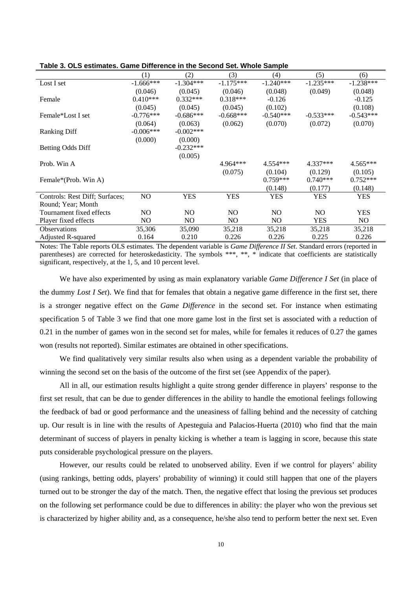|                                | (1)         | (2)          | (3)         | (4)            | (5)         | (6)         |
|--------------------------------|-------------|--------------|-------------|----------------|-------------|-------------|
| Lost I set                     | $-1.666***$ | $-1.304***$  | $-1.175***$ | $-1.240***$    | $-1.235***$ | $-1.238***$ |
|                                | (0.046)     | (0.045)      | (0.046)     | (0.048)        | (0.049)     | (0.048)     |
| Female                         | $0.410***$  | $0.332***$   | $0.318***$  | $-0.126$       |             | $-0.125$    |
|                                | (0.045)     | (0.045)      | (0.045)     | (0.102)        |             | (0.108)     |
| Female*Lost I set              | $-0.776***$ | $-0.686***$  | $-0.668***$ | $-0.540***$    | $-0.533***$ | $-0.543***$ |
|                                | (0.064)     | (0.063)      | (0.062)     | (0.070)        | (0.072)     | (0.070)     |
| <b>Ranking Diff</b>            | $-0.006***$ | $-0.002$ *** |             |                |             |             |
|                                | (0.000)     | (0.000)      |             |                |             |             |
| Betting Odds Diff              |             | $-0.232***$  |             |                |             |             |
|                                |             | (0.005)      |             |                |             |             |
| Prob. Win A                    |             |              | $4.964***$  | 4.554***       | 4.337***    | $4.565***$  |
|                                |             |              | (0.075)     | (0.104)        | (0.129)     | (0.105)     |
| Female*(Prob. Win A)           |             |              |             | $0.759***$     | $0.740***$  | $0.752***$  |
|                                |             |              |             | (0.148)        | (0.177)     | (0.148)     |
| Controls: Rest Diff; Surfaces; | NO.         | <b>YES</b>   | <b>YES</b>  | <b>YES</b>     | <b>YES</b>  | <b>YES</b>  |
| Round: Year: Month             |             |              |             |                |             |             |
| Tournament fixed effects       | NO.         | NO.          | NO.         | N <sub>O</sub> | NO.         | <b>YES</b>  |
| Player fixed effects           | NO.         | NO.          | NO.         | N <sub>O</sub> | YES.        | NO.         |
| <b>Observations</b>            | 35,306      | 35,090       | 35,218      | 35,218         | 35,218      | 35,218      |
| <b>Adjusted R-squared</b>      | 0.164       | 0.210        | 0.226       | 0.226          | 0.225       | 0.226       |

**Table 3. OLS estimates. Game Difference in the Second Set. Whole Sample** 

Notes: The Table reports OLS estimates. The dependent variable is *Game Difference II Set*. Standard errors (reported in parentheses) are corrected for heteroskedasticity. The symbols \*\*\*, \*\*, \* indicate that coefficients are statistically significant, respectively, at the 1, 5, and 10 percent level.

We have also experimented by using as main explanatory variable *Game Difference I Set* (in place of the dummy *Lost I Set*). We find that for females that obtain a negative game difference in the first set, there is a stronger negative effect on the *Game Difference* in the second set. For instance when estimating specification 5 of Table 3 we find that one more game lost in the first set is associated with a reduction of 0.21 in the number of games won in the second set for males, while for females it reduces of 0.27 the games won (results not reported). Similar estimates are obtained in other specifications.

We find qualitatively very similar results also when using as a dependent variable the probability of winning the second set on the basis of the outcome of the first set (see Appendix of the paper).

All in all, our estimation results highlight a quite strong gender difference in players' response to the first set result, that can be due to gender differences in the ability to handle the emotional feelings following the feedback of bad or good performance and the uneasiness of falling behind and the necessity of catching up. Our result is in line with the results of Apesteguia and Palacios-Huerta (2010) who find that the main determinant of success of players in penalty kicking is whether a team is lagging in score, because this state puts considerable psychological pressure on the players.

However, our results could be related to unobserved ability. Even if we control for players' ability (using rankings, betting odds, players' probability of winning) it could still happen that one of the players turned out to be stronger the day of the match. Then, the negative effect that losing the previous set produces on the following set performance could be due to differences in ability: the player who won the previous set is characterized by higher ability and, as a consequence, he/she also tend to perform better the next set. Even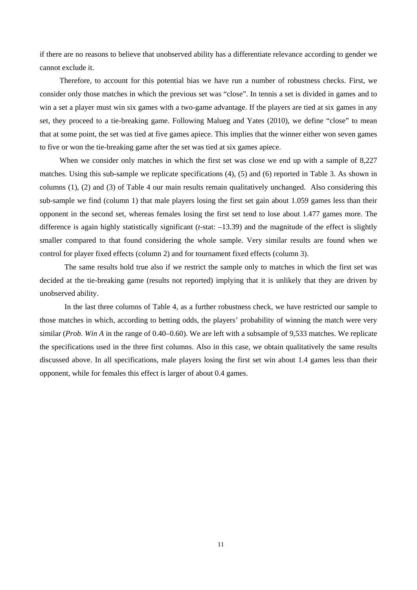if there are no reasons to believe that unobserved ability has a differentiate relevance according to gender we cannot exclude it.

Therefore, to account for this potential bias we have run a number of robustness checks. First, we consider only those matches in which the previous set was "close". In tennis a set is divided in games and to win a set a player must win six games with a two-game advantage. If the players are tied at six games in any set, they proceed to a tie-breaking game. Following Malueg and Yates (2010), we define "close" to mean that at some point, the set was tied at five games apiece. This implies that the winner either won seven games to five or won the tie-breaking game after the set was tied at six games apiece.

When we consider only matches in which the first set was close we end up with a sample of 8,227 matches. Using this sub-sample we replicate specifications (4), (5) and (6) reported in Table 3. As shown in columns (1), (2) and (3) of Table 4 our main results remain qualitatively unchanged. Also considering this sub-sample we find (column 1) that male players losing the first set gain about 1.059 games less than their opponent in the second set, whereas females losing the first set tend to lose about 1.477 games more. The difference is again highly statistically significant (*t*-stat: –13.39) and the magnitude of the effect is slightly smaller compared to that found considering the whole sample. Very similar results are found when we control for player fixed effects (column 2) and for tournament fixed effects (column 3).

The same results hold true also if we restrict the sample only to matches in which the first set was decided at the tie-breaking game (results not reported) implying that it is unlikely that they are driven by unobserved ability.

In the last three columns of Table 4, as a further robustness check, we have restricted our sample to those matches in which, according to betting odds, the players' probability of winning the match were very similar (*Prob. Win A* in the range of 0.40–0.60). We are left with a subsample of 9,533 matches. We replicate the specifications used in the three first columns. Also in this case, we obtain qualitatively the same results discussed above. In all specifications, male players losing the first set win about 1.4 games less than their opponent, while for females this effect is larger of about 0.4 games.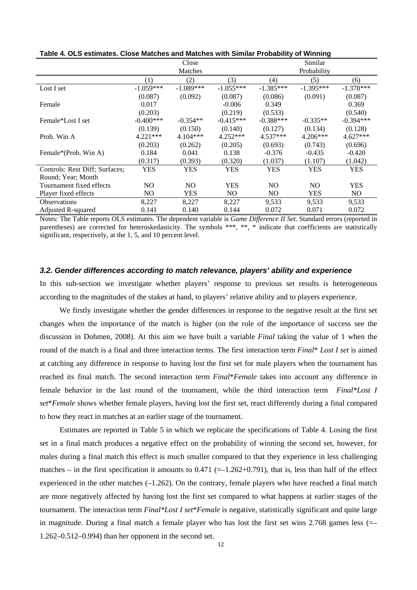|                                |             | Close          |             |             | Similar     |             |
|--------------------------------|-------------|----------------|-------------|-------------|-------------|-------------|
|                                |             | Matches        |             |             | Probability |             |
|                                | (1)         | (2)            | (3)         | (4)         | (5)         | (6)         |
| Lost I set                     | $-1.059***$ | $-1.089***$    | $-1.055***$ | $-1.385***$ | $-1.395***$ | $-1.378***$ |
|                                | (0.087)     | (0.092)        | (0.087)     | (0.086)     | (0.091)     | (0.087)     |
| Female                         | 0.017       |                | $-0.006$    | 0.349       |             | 0.369       |
|                                | (0.203)     |                | (0.219)     | (0.533)     |             | (0.540)     |
| Female <sup>*</sup> Lost Lset  | $-0.400***$ | $-0.354**$     | $-0.415***$ | $-0.388***$ | $-0.335**$  | $-0.394***$ |
|                                | (0.139)     | (0.150)        | (0.140)     | (0.127)     | (0.134)     | (0.128)     |
| Prob. Win A                    | $4.221***$  | $4.104***$     | $4.252***$  | $4.537***$  | $4.206***$  | $4.627***$  |
|                                | (0.203)     | (0.262)        | (0.205)     | (0.693)     | (0.743)     | (0.696)     |
| Female*(Prob. Win A)           | 0.184       | 0.041          | 0.138       | $-0.376$    | $-0.435$    | $-0.420$    |
|                                | (0.317)     | (0.393)        | (0.320)     | (1.037)     | (1.107)     | (1.042)     |
| Controls: Rest Diff; Surfaces; | <b>YES</b>  | <b>YES</b>     | <b>YES</b>  | YES         | <b>YES</b>  | <b>YES</b>  |
| Round: Year: Month             |             |                |             |             |             |             |
| Tournament fixed effects       | NO.         | N <sub>O</sub> | <b>YES</b>  | NO.         | NO.         | <b>YES</b>  |
| Player fixed effects           | NO.         | YES            | NO.         | NO.         | YES         | NO.         |
| <b>Observations</b>            | 8,227       | 8,227          | 8,227       | 9,533       | 9,533       | 9,533       |
| <b>Adjusted R-squared</b>      | 0.141       | 0.140          | 0.144       | 0.072       | 0.071       | 0.072       |

**Table 4. OLS estimates. Close Matches and Matches with Similar Probability of Winning**

Notes: The Table reports OLS estimates. The dependent variable is *Game Difference II Set*. Standard errors (reported in parentheses) are corrected for heteroskedasticity. The symbols \*\*\*, \*\*, \* indicate that coefficients are statistically significant, respectively, at the 1, 5, and 10 percent level.

#### *3.2. Gender differences according to match relevance, players' ability and experience*

In this sub-section we investigate whether players' response to previous set results is heterogeneous according to the magnitudes of the stakes at hand, to players' relative ability and to players experience.

We firstly investigate whether the gender differences in response to the negative result at the first set changes when the importance of the match is higher (on the role of the importance of success see the discussion in Dohmen, 2008). At this aim we have built a variable *Final* taking the value of 1 when the round of the match is a final and three interaction terms. The first interaction term *Final*\* *Lost I set* is aimed at catching any difference in response to having lost the first set for male players when the tournament has reached its final match. The second interaction term *Final*\**Female* takes into account any difference in female behavior in the last round of the tournament, while the third interaction term *Final\*Lost I set*\**Female* shows whether female players, having lost the first set, react differently during a final compared to how they react in matches at an earlier stage of the tournament.

Estimates are reported in Table 5 in which we replicate the specifications of Table 4. Losing the first set in a final match produces a negative effect on the probability of winning the second set, however, for males during a final match this effect is much smaller compared to that they experience in less challenging matches – in the first specification it amounts to  $0.471$  (=-1.262+0.791), that is, less than half of the effect experienced in the other matches (–1.262). On the contrary, female players who have reached a final match are more negatively affected by having lost the first set compared to what happens at earlier stages of the tournament. The interaction term *Final\*Lost I set*\**Female* is negative, statistically significant and quite large in magnitude. During a final match a female player who has lost the first set wins 2.768 games less (=– 1.262–0.512–0.994) than her opponent in the second set.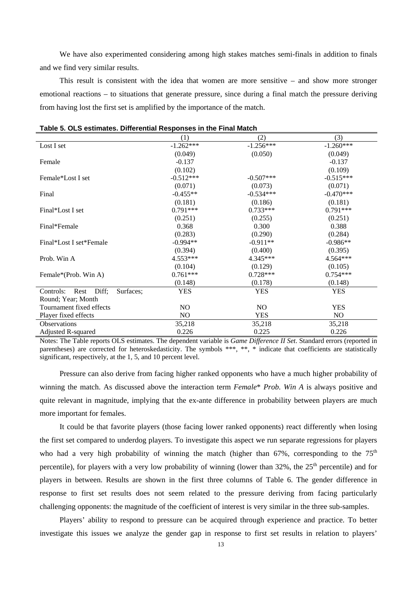We have also experimented considering among high stakes matches semi-finals in addition to finals and we find very similar results.

This result is consistent with the idea that women are more sensitive – and show more stronger emotional reactions – to situations that generate pressure, since during a final match the pressure deriving from having lost the first set is amplified by the importance of the match.

|                                         | (1)         | (2)         | (3)            |
|-----------------------------------------|-------------|-------------|----------------|
| Lost I set                              | $-1.262***$ | $-1.256***$ | $-1.260***$    |
|                                         | (0.049)     | (0.050)     | (0.049)        |
| Female                                  | $-0.137$    |             | $-0.137$       |
|                                         | (0.102)     |             | (0.109)        |
| Female*Lost I set                       | $-0.512***$ | $-0.507***$ | $-0.515***$    |
|                                         | (0.071)     | (0.073)     | (0.071)        |
| Final                                   | $-0.455**$  | $-0.534***$ | $-0.470***$    |
|                                         | (0.181)     | (0.186)     | (0.181)        |
| Final*Lost I set                        | $0.791***$  | $0.733***$  | $0.791***$     |
|                                         | (0.251)     | (0.255)     | (0.251)        |
| Final*Female                            | 0.368       | 0.300       | 0.388          |
|                                         | (0.283)     | (0.290)     | (0.284)        |
| Final*Lost I set*Female                 | $-0.994**$  | $-0.911**$  | $-0.986**$     |
|                                         | (0.394)     | (0.400)     | (0.395)        |
| Prob. Win A                             | $4.553***$  | 4.345***    | 4.564***       |
|                                         | (0.104)     | (0.129)     | (0.105)        |
| Female*(Prob. Win A)                    | $0.761***$  | $0.728***$  | $0.754***$     |
|                                         | (0.148)     | (0.178)     | (0.148)        |
| Controls:<br>Diff;<br>Surfaces;<br>Rest | <b>YES</b>  | <b>YES</b>  | <b>YES</b>     |
| Round; Year; Month                      |             |             |                |
| Tournament fixed effects                | NO.         | NO.         | <b>YES</b>     |
| Player fixed effects                    | NO.         | <b>YES</b>  | N <sub>O</sub> |
| Observations                            | 35,218      | 35,218      | 35,218         |
| Adjusted R-squared                      | 0.226       | 0.225       | 0.226          |

Notes: The Table reports OLS estimates. The dependent variable is *Game Difference II Set*. Standard errors (reported in parentheses) are corrected for heteroskedasticity. The symbols \*\*\*, \*\*, \* indicate that coefficients are statistically significant, respectively, at the 1, 5, and 10 percent level.

Pressure can also derive from facing higher ranked opponents who have a much higher probability of winning the match. As discussed above the interaction term *Female*\* *Prob. Win A* is always positive and quite relevant in magnitude, implying that the ex-ante difference in probability between players are much more important for females.

It could be that favorite players (those facing lower ranked opponents) react differently when losing the first set compared to underdog players. To investigate this aspect we run separate regressions for players who had a very high probability of winning the match (higher than  $67\%$ , corresponding to the  $75<sup>th</sup>$ percentile), for players with a very low probability of winning (lower than  $32\%$ , the  $25<sup>th</sup>$  percentile) and for players in between. Results are shown in the first three columns of Table 6. The gender difference in response to first set results does not seem related to the pressure deriving from facing particularly challenging opponents: the magnitude of the coefficient of interest is very similar in the three sub-samples.

Players' ability to respond to pressure can be acquired through experience and practice. To better investigate this issues we analyze the gender gap in response to first set results in relation to players'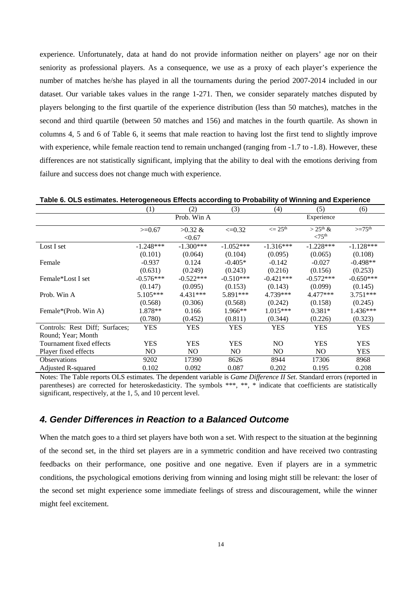experience. Unfortunately, data at hand do not provide information neither on players' age nor on their seniority as professional players. As a consequence, we use as a proxy of each player's experience the number of matches he/she has played in all the tournaments during the period 2007-2014 included in our dataset. Our variable takes values in the range 1-271. Then, we consider separately matches disputed by players belonging to the first quartile of the experience distribution (less than 50 matches), matches in the second and third quartile (between 50 matches and 156) and matches in the fourth quartile. As shown in columns 4, 5 and 6 of Table 6, it seems that male reaction to having lost the first tend to slightly improve with experience, while female reaction tend to remain unchanged (ranging from -1.7 to -1.8). However, these differences are not statistically significant, implying that the ability to deal with the emotions deriving from failure and success does not change much with experience.

|                                | $\left(1\right)$ | (2)         | (3)         | (4)                           | (5)                 | (6)                |
|--------------------------------|------------------|-------------|-------------|-------------------------------|---------------------|--------------------|
|                                |                  | Prob. Win A |             |                               | Experience          |                    |
|                                | $>=0.67$         | $>0.32 \&$  | $\leq 0.32$ | $\epsilon = 25$ <sup>th</sup> | $>25^{\text{th}}$ & | $>=75^{\text{th}}$ |
|                                |                  | < 0.67      |             |                               | < 75 <sup>th</sup>  |                    |
| Lost I set                     | $-1.248***$      | $-1.300***$ | $-1.052***$ | $-1.316***$                   | $-1.228***$         | $-1.128***$        |
|                                | (0.101)          | (0.064)     | (0.104)     | (0.095)                       | (0.065)             | (0.108)            |
| Female                         | $-0.937$         | 0.124       | $-0.405*$   | $-0.142$                      | $-0.027$            | $-0.498**$         |
|                                | (0.631)          | (0.249)     | (0.243)     | (0.216)                       | (0.156)             | (0.253)            |
| Female*Lost I set              | $-0.576***$      | $-0.522***$ | $-0.510***$ | $-0.421***$                   | $-0.572***$         | $-0.650***$        |
|                                | (0.147)          | (0.095)     | (0.153)     | (0.143)                       | (0.099)             | (0.145)            |
| Prob. Win A                    | $5.105***$       | $4.431***$  | 5.891***    | 4.739***                      | $4.477***$          | $3.751***$         |
|                                | (0.568)          | (0.306)     | (0.568)     | (0.242)                       | (0.158)             | (0.245)            |
| Female*(Prob. Win A)           | 1.878**          | 0.166       | $1.966**$   | $1.015***$                    | $0.381*$            | $1.436***$         |
|                                | (0.780)          | (0.452)     | (0.811)     | (0.344)                       | (0.226)             | (0.323)            |
| Controls: Rest Diff; Surfaces; | <b>YES</b>       | <b>YES</b>  | <b>YES</b>  | <b>YES</b>                    | <b>YES</b>          | <b>YES</b>         |
| Round: Year: Month             |                  |             |             |                               |                     |                    |
| Tournament fixed effects       | <b>YES</b>       | <b>YES</b>  | <b>YES</b>  | NO.                           | <b>YES</b>          | <b>YES</b>         |
| Player fixed effects           | NO.              | NO.         | NO.         | NO.                           | N <sub>O</sub>      | <b>YES</b>         |
| <b>Observations</b>            | 9202             | 17390       | 8626        | 8944                          | 17306               | 8968               |
| Adjusted R-squared             | 0.102            | 0.092       | 0.087       | 0.202                         | 0.195               | 0.208              |

Notes: The Table reports OLS estimates. The dependent variable is *Game Difference II Set*. Standard errors (reported in parentheses) are corrected for heteroskedasticity. The symbols \*\*\*, \*\*, \* indicate that coefficients are statistically significant, respectively, at the 1, 5, and 10 percent level.

#### *4. Gender Differences in Reaction to a Balanced Outcome*

When the match goes to a third set players have both won a set. With respect to the situation at the beginning of the second set, in the third set players are in a symmetric condition and have received two contrasting feedbacks on their performance, one positive and one negative. Even if players are in a symmetric conditions, the psychological emotions deriving from winning and losing might still be relevant: the loser of the second set might experience some immediate feelings of stress and discouragement, while the winner might feel excitement.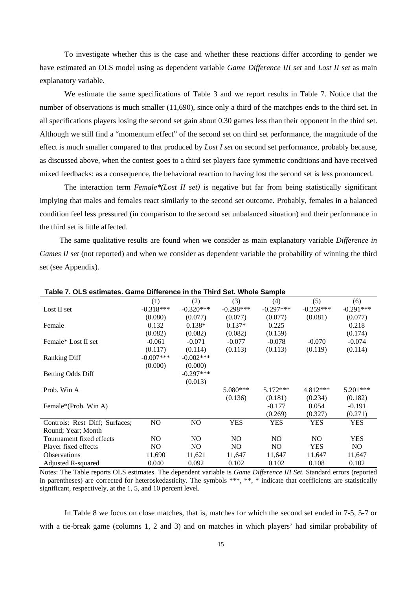To investigate whether this is the case and whether these reactions differ according to gender we have estimated an OLS model using as dependent variable *Game Difference III set* and *Lost II set* as main explanatory variable.

We estimate the same specifications of Table 3 and we report results in Table 7. Notice that the number of observations is much smaller (11,690), since only a third of the matchpes ends to the third set. In all specifications players losing the second set gain about 0.30 games less than their opponent in the third set. Although we still find a "momentum effect" of the second set on third set performance, the magnitude of the effect is much smaller compared to that produced by *Lost I set* on second set performance, probably because, as discussed above, when the contest goes to a third set players face symmetric conditions and have received mixed feedbacks: as a consequence, the behavioral reaction to having lost the second set is less pronounced.

The interaction term *Female\*(Lost II set)* is negative but far from being statistically significant implying that males and females react similarly to the second set outcome. Probably, females in a balanced condition feel less pressured (in comparison to the second set unbalanced situation) and their performance in the third set is little affected.

The same qualitative results are found when we consider as main explanatory variable *Difference in Games II set* (not reported) and when we consider as dependent variable the probability of winning the third set (see Appendix).

|                                | (1)            | (2)          | (3)            | (4)         | (5)         | (6)         |
|--------------------------------|----------------|--------------|----------------|-------------|-------------|-------------|
| Lost II set                    | $-0.318***$    | $-0.320***$  | $-0.298***$    | $-0.297***$ | $-0.259***$ | $-0.291***$ |
|                                | (0.080)        | (0.077)      | (0.077)        | (0.077)     | (0.081)     | (0.077)     |
| Female                         | 0.132          | $0.138*$     | $0.137*$       | 0.225       |             | 0.218       |
|                                | (0.082)        | (0.082)      | (0.082)        | (0.159)     |             | (0.174)     |
| Female* Lost II set            | $-0.061$       | $-0.071$     | $-0.077$       | $-0.078$    | $-0.070$    | $-0.074$    |
|                                | (0.117)        | (0.114)      | (0.113)        | (0.113)     | (0.119)     | (0.114)     |
| <b>Ranking Diff</b>            | $-0.007***$    | $-0.002$ *** |                |             |             |             |
|                                | (0.000)        | (0.000)      |                |             |             |             |
| <b>Betting Odds Diff</b>       |                | $-0.297***$  |                |             |             |             |
|                                |                | (0.013)      |                |             |             |             |
| Prob. Win A                    |                |              | $5.080***$     | $5.172***$  | 4.812***    | $5.201***$  |
|                                |                |              | (0.136)        | (0.181)     | (0.234)     | (0.182)     |
| Female*(Prob. Win A)           |                |              |                | $-0.177$    | 0.054       | $-0.191$    |
|                                |                |              |                | (0.269)     | (0.327)     | (0.271)     |
| Controls: Rest Diff; Surfaces; | N <sub>O</sub> | NO           | <b>YES</b>     | <b>YES</b>  | <b>YES</b>  | <b>YES</b>  |
| Round; Year; Month             |                |              |                |             |             |             |
| Tournament fixed effects       | NO.            | NO.          | N <sub>O</sub> | NO.         | NO.         | <b>YES</b>  |
| Player fixed effects           | NO.            | NO.          | NO.            | NO.         | <b>YES</b>  | NO.         |
| <b>Observations</b>            | 11,690         | 11,621       | 11,647         | 11,647      | 11,647      | 11,647      |
| Adjusted R-squared             | 0.040          | 0.092        | 0.102          | 0.102       | 0.108       | 0.102       |

**Table 7. OLS estimates. Game Difference in the Third Set. Whole Sample**

Notes: The Table reports OLS estimates. The dependent variable is *Game Difference III Set*. Standard errors (reported in parentheses) are corrected for heteroskedasticity. The symbols \*\*\*, \*\*, \* indicate that coefficients are statistically significant, respectively, at the 1, 5, and 10 percent level.

In Table 8 we focus on close matches, that is, matches for which the second set ended in 7-5, 5-7 or with a tie-break game (columns 1, 2 and 3) and on matches in which players' had similar probability of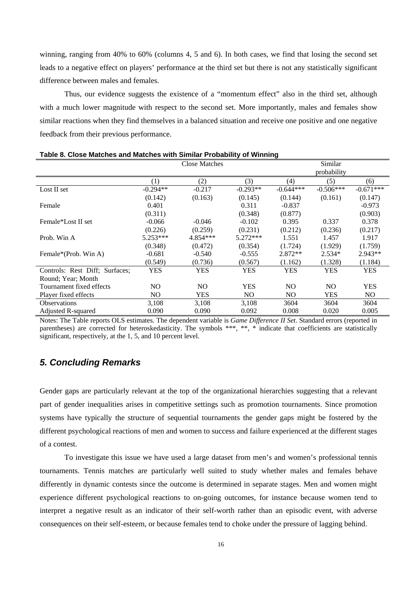winning, ranging from 40% to 60% (columns 4, 5 and 6). In both cases, we find that losing the second set leads to a negative effect on players' performance at the third set but there is not any statistically significant difference between males and females.

Thus, our evidence suggests the existence of a "momentum effect" also in the third set, although with a much lower magnitude with respect to the second set. More importantly, males and females show similar reactions when they find themselves in a balanced situation and receive one positive and one negative feedback from their previous performance.

|                                |                | <b>Close Matches</b> |            |             | Similar     |             |
|--------------------------------|----------------|----------------------|------------|-------------|-------------|-------------|
|                                |                |                      |            |             | probability |             |
|                                | (1)            | (2)                  | (3)        | (4)         | (5)         | (6)         |
| Lost II set                    | $-0.294**$     | $-0.217$             | $-0.293**$ | $-0.644***$ | $-0.506***$ | $-0.671***$ |
|                                | (0.142)        | (0.163)              | (0.145)    | (0.144)     | (0.161)     | (0.147)     |
| Female                         | 0.401          |                      | 0.311      | $-0.837$    |             | $-0.973$    |
|                                | (0.311)        |                      | (0.348)    | (0.877)     |             | (0.903)     |
| Female*Lost II set             | $-0.066$       | $-0.046$             | $-0.102$   | 0.395       | 0.337       | 0.378       |
|                                | (0.226)        | (0.259)              | (0.231)    | (0.212)     | (0.236)     | (0.217)     |
| Prob. Win A                    | $5.253***$     | 4.854***             | $5.272***$ | 1.551       | 1.457       | 1.917       |
|                                | (0.348)        | (0.472)              | (0.354)    | (1.724)     | (1.929)     | (1.759)     |
| Female*(Prob. Win A)           | $-0.681$       | $-0.540$             | $-0.555$   | $2.872**$   | $2.534*$    | $2.943**$   |
|                                | (0.549)        | (0.736)              | (0.567)    | (1.162)     | (1.328)     | (1.184)     |
| Controls: Rest Diff: Surfaces: | <b>YES</b>     | <b>YES</b>           | <b>YES</b> | <b>YES</b>  | <b>YES</b>  | <b>YES</b>  |
| Round: Year: Month             |                |                      |            |             |             |             |
| Tournament fixed effects       | N <sub>O</sub> | NO.                  | <b>YES</b> | NO.         | NO.         | <b>YES</b>  |
| Player fixed effects           | NO.            | <b>YES</b>           | NO.        | NO.         | <b>YES</b>  | NO.         |
| <b>Observations</b>            | 3,108          | 3,108                | 3,108      | 3604        | 3604        | 3604        |
| Adjusted R-squared             | 0.090          | 0.090                | 0.092      | 0.008       | 0.020       | 0.005       |
|                                |                |                      |            |             |             |             |

**Table 8. Close Matches and Matches with Similar Probability of Winning** 

Notes: The Table reports OLS estimates. The dependent variable is *Game Difference II Set*. Standard errors (reported in parentheses) are corrected for heteroskedasticity. The symbols \*\*\*, \*\*, indicate that coefficients are statistically significant, respectively, at the 1, 5, and 10 percent level.

## *5. Concluding Remarks*

Gender gaps are particularly relevant at the top of the organizational hierarchies suggesting that a relevant part of gender inequalities arises in competitive settings such as promotion tournaments. Since promotion systems have typically the structure of sequential tournaments the gender gaps might be fostered by the different psychological reactions of men and women to success and failure experienced at the different stages of a contest.

To investigate this issue we have used a large dataset from men's and women's professional tennis tournaments. Tennis matches are particularly well suited to study whether males and females behave differently in dynamic contests since the outcome is determined in separate stages. Men and women might experience different psychological reactions to on-going outcomes, for instance because women tend to interpret a negative result as an indicator of their self-worth rather than an episodic event, with adverse consequences on their self-esteem, or because females tend to choke under the pressure of lagging behind.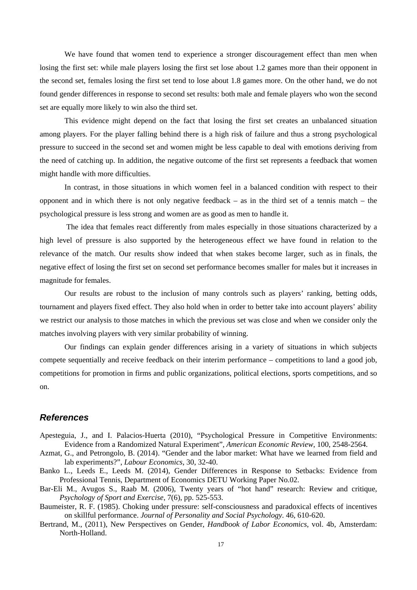We have found that women tend to experience a stronger discouragement effect than men when losing the first set: while male players losing the first set lose about 1.2 games more than their opponent in the second set, females losing the first set tend to lose about 1.8 games more. On the other hand, we do not found gender differences in response to second set results: both male and female players who won the second set are equally more likely to win also the third set.

This evidence might depend on the fact that losing the first set creates an unbalanced situation among players. For the player falling behind there is a high risk of failure and thus a strong psychological pressure to succeed in the second set and women might be less capable to deal with emotions deriving from the need of catching up. In addition, the negative outcome of the first set represents a feedback that women might handle with more difficulties.

In contrast, in those situations in which women feel in a balanced condition with respect to their opponent and in which there is not only negative feedback – as in the third set of a tennis match – the psychological pressure is less strong and women are as good as men to handle it.

 The idea that females react differently from males especially in those situations characterized by a high level of pressure is also supported by the heterogeneous effect we have found in relation to the relevance of the match. Our results show indeed that when stakes become larger, such as in finals, the negative effect of losing the first set on second set performance becomes smaller for males but it increases in magnitude for females.

Our results are robust to the inclusion of many controls such as players' ranking, betting odds, tournament and players fixed effect. They also hold when in order to better take into account players' ability we restrict our analysis to those matches in which the previous set was close and when we consider only the matches involving players with very similar probability of winning.

Our findings can explain gender differences arising in a variety of situations in which subjects compete sequentially and receive feedback on their interim performance – competitions to land a good job, competitions for promotion in firms and public organizations, political elections, sports competitions, and so on.

#### *References*

- Apesteguia, J., and I. Palacios-Huerta (2010), "Psychological Pressure in Competitive Environments: Evidence from a Randomized Natural Experiment", *American Economic Review*, 100, 2548-2564.
- Azmat, G., and Petrongolo, B. (2014). "Gender and the labor market: What have we learned from field and lab experiments?", *Labour Economics*, 30, 32-40.
- Banko L., Leeds E., Leeds M. (2014), Gender Differences in Response to Setbacks: Evidence from Professional Tennis, Department of Economics DETU Working Paper No.02.
- Bar-Eli M., Avugos S., Raab M. (2006), Twenty years of "hot hand" research: Review and critique, *Psychology of Sport and Exercise*, 7(6), pp. 525-553.
- Baumeister, R. F. (1985). Choking under pressure: self-consciousness and paradoxical effects of incentives on skillful performance. *Journal of Personality and Social Psychology*. 46, 610-620.
- Bertrand, M., (2011), New Perspectives on Gender, *Handbook of Labor Economics*, vol. 4b, Amsterdam: North-Holland.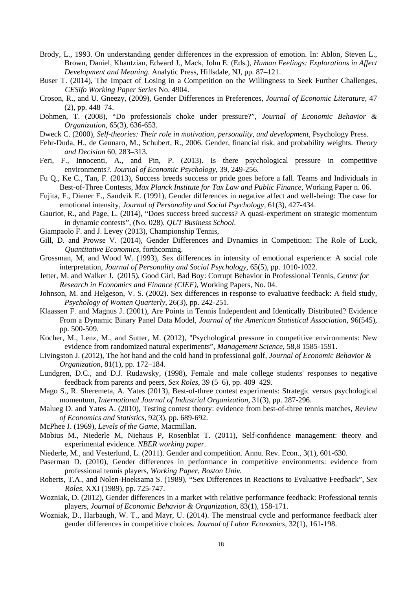- Brody, L., 1993. On understanding gender differences in the expression of emotion. In: Ablon, Steven L., Brown, Daniel, Khantzian, Edward J., Mack, John E. (Eds.), *Human Feelings: Explorations in Affect Development and Meaning*. Analytic Press, Hillsdale, NJ, pp. 87–121.
- Buser T. (2014), The Impact of Losing in a Competition on the Willingness to Seek Further Challenges, *CESifo Working Paper Series* No. 4904.
- Croson, R., and U. Gneezy, (2009), Gender Differences in Preferences, *Journal of Economic Literature*, 47 (2), pp. 448–74.
- Dohmen, T. (2008), "Do professionals choke under pressure?", *Journal of Economic Behavior & Organization*, 65(3), 636-653.
- Dweck C. (2000), *Self-theories: Their role in motivation, personality, and development*, Psychology Press.
- Fehr-Duda, H., de Gennaro, M., Schubert, R., 2006. Gender, financial risk, and probability weights. *Theory and Decision* 60, 283–313.
- Feri, F., Innocenti, A., and Pin, P. (2013). Is there psychological pressure in competitive environments?. *Journal of Economic Psychology*, 39, 249-256.
- Fu Q., Ke C., Tan, F. (2013), Success breeds success or pride goes before a fall. Teams and Individuals in Best-of-Three Contests, *Max Planck Institute for Tax Law and Public Finance*, Working Paper n. 06.
- Fujita, F., Diener E., Sandvik E. (1991), Gender differences in negative affect and well-being: The case for emotional intensity, *Journal of Personality and Social Psychology*, 61(3), 427-434.
- Gauriot, R., and Page, L. (2014), "Does success breed success? A quasi-experiment on strategic momentum in dynamic contests", (No. 028). *QUT Business School*.
- Giampaolo F. and J. Levey (2013), Championship Tennis,
- Gill, D. and Prowse V. (2014), Gender Differences and Dynamics in Competition: The Role of Luck, *Quantitative Economics*, forthcoming.
- Grossman, M, and Wood W. (1993), Sex differences in intensity of emotional experience: A social role interpretation, *Journal of Personality and Social Psychology*, 65(5), pp. 1010-1022.
- Jetter, M. and Walker J. (2015), Good Girl, Bad Boy: Corrupt Behavior in Professional Tennis, *Center for Research in Economics and Finance (CIEF)*, Working Papers, No. 04.
- Johnson, M. and Helgeson, V. S. (2002). Sex differences in response to evaluative feedback: A field study, *Psychology of Women Quarterly*, 26(3), pp. 242-251.
- Klaassen F. and Magnus J. (2001), Are Points in Tennis Independent and Identically Distributed? Evidence From a Dynamic Binary Panel Data Model, *Journal of the American Statistical Association*, 96(545), pp. 500-509.
- Kocher, M., Lenz, M., and Sutter, M. (2012), "Psychological pressure in competitive environments: New evidence from randomized natural experiments", *Management Science*, 58,8 1585-1591.
- Livingston J. (2012), The hot hand and the cold hand in professional golf, *Journal of Economic Behavior & Organization*, 81(1), pp. 172–184.
- Lundgren, D.C., and D.J. Rudawsky, (1998), Female and male college students' responses to negative feedback from parents and peers, *Sex Roles*, 39 (5–6), pp. 409–429.
- Mago S., R. Sheremeta, A. Yates (2013), Best-of-three contest experiments: Strategic versus psychological momentum, *International Journal of Industrial Organization*, 31(3), pp. 287-296.
- Malueg D. and Yates A. (2010), Testing contest theory: evidence from best-of-three tennis matches, *Review of Economics and Statistics*, 92(3), pp. 689-692.
- McPhee J. (1969), *Levels of the Game*, Macmillan.
- Mobius M., Niederle M, Niehaus P, Rosenblat T. (2011), Self-confidence management: theory and experimental evidence. *NBER working paper*.
- Niederle, M., and Vesterlund, L. (2011). Gender and competition. Annu. Rev. Econ., 3(1), 601-630.
- Paserman D. (2010), Gender differences in performance in competitive environments: evidence from professional tennis players, *Working Paper, Boston Univ.*
- Roberts, T.A., and Nolen-Hoeksama S. (1989), "Sex Differences in Reactions to Evaluative Feedback", *Sex Roles*, XXI (1989), pp. 725-747.
- Wozniak, D. (2012), Gender differences in a market with relative performance feedback: Professional tennis players, *Journal of Economic Behavior & Organization*, 83(1), 158-171.
- Wozniak, D., Harbaugh, W. T., and Mayr, U. (2014). The menstrual cycle and performance feedback alter gender differences in competitive choices. *Journal of Labor Economics*, 32(1), 161-198.